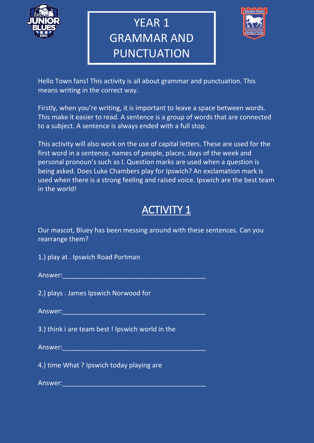

# YEAR 1 GRAMMAR AND PUNCTUATION



Hello Town fans! This activity is all about grammar and punctuation. This means writing in the correct way.

Firstly, when you're writing, it is important to leave a space between words. This make it easier to read. A sentence is a group of words that are connected to a subject. A sentence is always ended with a full stop.

This activity will also work on the use of capital letters. These are used for the first word in a sentence, names of people, places, days of the week and personal pronoun's such as I. Question marks are used when a question is being asked. Does Luke Chambers play for Ipswich? An exclamation mark is used when there is a strong feeling and raised voice. Ipswich are the best team in the world!

## ACTIVITY 1

Our mascot, Bluey has been messing around with these sentences. Can you rearrange them?

1.) play at . Ipswich Road Portman

Answer:\_\_\_\_\_\_\_\_\_\_\_\_\_\_\_\_\_\_\_\_\_\_\_\_\_\_\_\_\_\_\_\_\_\_\_\_\_\_\_

2.) plays . James Ipswich Norwood for

Answer:

3.) think i are team best ! Ipswich world in the

Answer:\_\_\_\_\_\_\_\_\_\_\_\_\_\_\_\_\_\_\_\_\_\_\_\_\_\_\_\_\_\_\_\_\_\_\_\_\_\_\_

4.) time What ? Ipswich today playing are

Answer:\_\_\_\_\_\_\_\_\_\_\_\_\_\_\_\_\_\_\_\_\_\_\_\_\_\_\_\_\_\_\_\_\_\_\_\_\_\_\_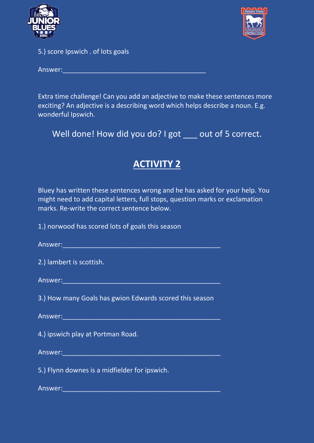



5.) score Ipswich . of lots goals

Answer:\_\_\_\_\_\_\_\_\_\_\_\_\_\_\_\_\_\_\_\_\_\_\_\_\_\_\_\_\_\_\_\_\_\_\_\_\_\_\_

Extra time challenge! Can you add an adjective to make these sentences more exciting? An adjective is a describing word which helps describe a noun. E.g. wonderful Ipswich.

Well done! How did you do? I got \_\_\_ out of 5 correct.

### **ACTIVITY 2**

Bluey has written these sentences wrong and he has asked for your help. You might need to add capital letters, full stops, question marks or exclamation marks. Re-write the correct sentence below.

1.) norwood has scored lots of goals this season

| Answer: |  |  |  |  |  |
|---------|--|--|--|--|--|
|         |  |  |  |  |  |

|  |  | 2.) lambert is scottish. |
|--|--|--------------------------|
|  |  |                          |

Answer:\_\_\_\_\_\_\_\_\_\_\_\_\_\_\_\_\_\_\_\_\_\_\_\_\_\_\_\_\_\_\_\_\_\_\_\_\_\_\_\_\_\_\_

3.) How many Goals has gwion Edwards scored this season

Answer:\_\_\_\_\_\_\_\_\_\_\_\_\_\_\_\_\_\_\_\_\_\_\_\_\_\_\_\_\_\_\_\_\_\_\_\_\_\_\_\_\_\_\_

4.) ipswich play at Portman Road.

Answer:\_\_\_\_\_\_\_\_\_\_\_\_\_\_\_\_\_\_\_\_\_\_\_\_\_\_\_\_\_\_\_\_\_\_\_\_\_\_\_\_\_\_\_

5.) Flynn downes is a midfielder for ipswich.

Answer:\_\_\_\_\_\_\_\_\_\_\_\_\_\_\_\_\_\_\_\_\_\_\_\_\_\_\_\_\_\_\_\_\_\_\_\_\_\_\_\_\_\_\_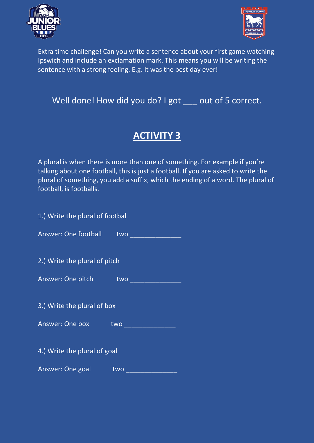



Extra time challenge! Can you write a sentence about your first game watching Ipswich and include an exclamation mark. This means you will be writing the sentence with a strong feeling. E.g. It was the best day ever!

#### Well done! How did you do? I got \_\_\_ out of 5 correct.

### **ACTIVITY 3**

A plural is when there is more than one of something. For example if you're talking about one football, this is just a football. If you are asked to write the plural of something, you add a suffix, which the ending of a word. The plural of football, is footballs.

| 1.) Write the plural of football |     |  |  |  |
|----------------------------------|-----|--|--|--|
| Answer: One football two         |     |  |  |  |
| 2.) Write the plural of pitch    |     |  |  |  |
| Answer: One pitch two            |     |  |  |  |
| 3.) Write the plural of box      |     |  |  |  |
| Answer: One box two              |     |  |  |  |
| 4.) Write the plural of goal     |     |  |  |  |
| Answer: One goal                 | two |  |  |  |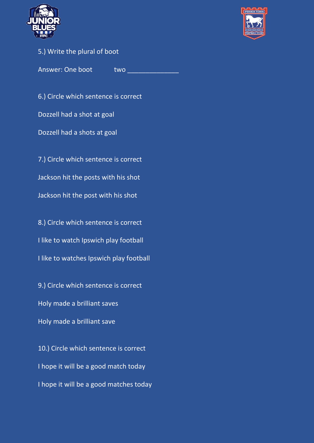



#### 5.) Write the plural of boot

Answer: One boot two two

6.) Circle which sentence is correct Dozzell had a shot at goal Dozzell had a shots at goal 7.) Circle which sentence is correct Jackson hit the posts with his shot Jackson hit the post with his shot

8.) Circle which sentence is correct I like to watch Ipswich play football I like to watches Ipswich play football

9.) Circle which sentence is correct Holy made a brilliant saves Holy made a brilliant save

10.) Circle which sentence is correct I hope it will be a good match today I hope it will be a good matches today